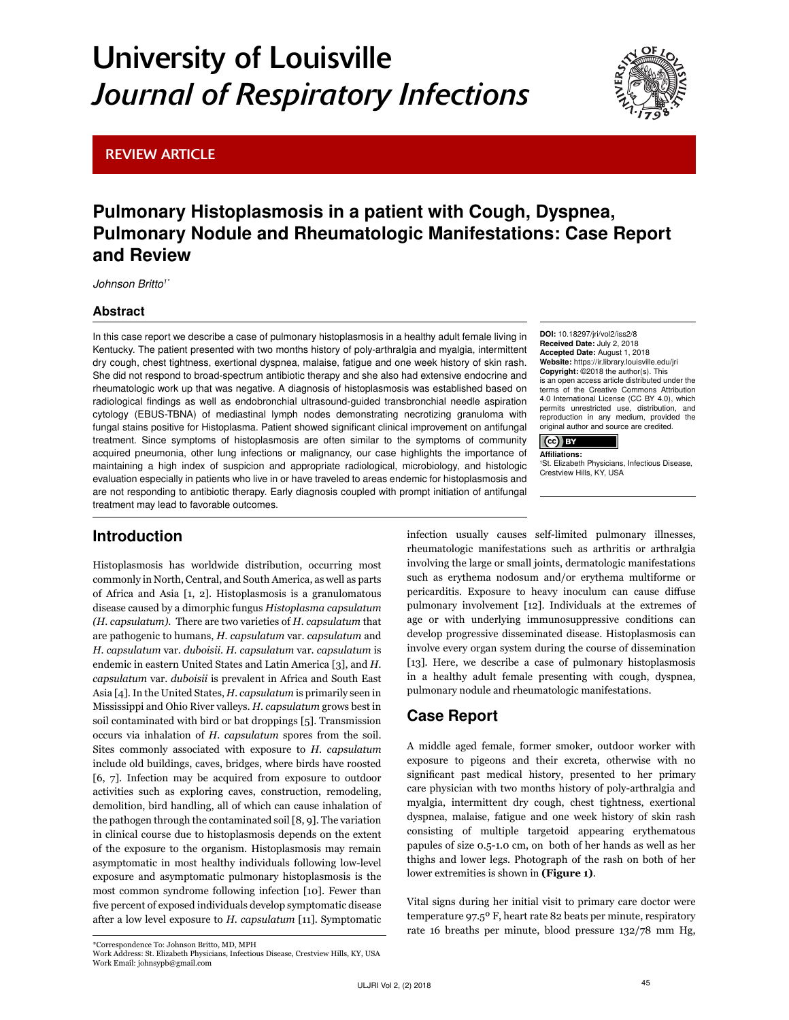# University of Louisville *Journal of Respiratory Infections*

## REVIEW ARTICLE



# Pulmonary Histoplasmosis in a patient with Cough, Dyspnea, Pulmonary Nodule and Rheumatologic Manifestations: Case Report and Review

*Johnson Britto1\**

### Abstract

In this case report we describe a case of pulmonary histoplasmosis in a healthy adult female living in Kentucky. The patient presented with two months history of poly-arthralgia and myalgia, intermittent dry cough, chest tightness, exertional dyspnea, malaise, fatigue and one week history of skin rash. She did not respond to broad-spectrum antibiotic therapy and she also had extensive endocrine and rheumatologic work up that was negative. A diagnosis of histoplasmosis was established based on radiological findings as well as endobronchial ultrasound-guided transbronchial needle aspiration cytology (EBUS-TBNA) of mediastinal lymph nodes demonstrating necrotizing granuloma with fungal stains positive for Histoplasma. Patient showed significant clinical improvement on antifungal treatment. Since symptoms of histoplasmosis are often similar to the symptoms of community acquired pneumonia, other lung infections or malignancy, our case highlights the importance of maintaining a high index of suspicion and appropriate radiological, microbiology, and histologic evaluation especially in patients who live in or have traveled to areas endemic for histoplasmosis and are not responding to antibiotic therapy. Early diagnosis coupled with prompt initiation of antifungal treatment may lead to favorable outcomes.

# Introduction

Histoplasmosis has worldwide distribution, occurring most commonly in North, Central, and South America, as well as parts of Africa and Asia [1, 2]. Histoplasmosis is a granulomatous disease caused by a dimorphic fungus *Histoplasma capsulatum (H. capsulatum)*. There are two varieties of *H. capsulatum* that are pathogenic to humans, *H. capsulatum* var. *capsulatum* and *H. capsulatum* var. *duboisii*. *H. capsulatum* var. *capsulatum* is endemic in eastern United States and Latin America [3], and *H. capsulatum* var. *duboisii* is prevalent in Africa and South East Asia [4]. In the United States, *H. capsulatum* is primarily seen in Mississippi and Ohio River valleys. *H. capsulatum* grows best in soil contaminated with bird or bat droppings [5]. Transmission occurs via inhalation of *H. capsulatum* spores from the soil. Sites commonly associated with exposure to *H. capsulatum*  include old buildings, caves, bridges, where birds have roosted [6, 7]. Infection may be acquired from exposure to outdoor activities such as exploring caves, construction, remodeling, demolition, bird handling, all of which can cause inhalation of the pathogen through the contaminated soil [8, 9]. The variation in clinical course due to histoplasmosis depends on the extent of the exposure to the organism. Histoplasmosis may remain asymptomatic in most healthy individuals following low-level exposure and asymptomatic pulmonary histoplasmosis is the most common syndrome following infection [10]. Fewer than five percent of exposed individuals develop symptomatic disease after a low level exposure to *H. capsulatum* [11]. Symptomatic DOI: 10.18297/jri/vol2/iss2/8 Received Date: July 2, 2018 Accepted Date: August 1, 2018 Website: https://ir.library.louisville.edu/jri Copyright: ©2018 the author(s). This is an open access article distributed under the terms of the [Creative Commons Attribution](https://creativecommons.org/licenses/by-nd/4.0/) [4.0 International License \(CC BY 4.0\),](https://creativecommons.org/licenses/by-nd/4.0/) which permits unrestricted use, distribution, reproduction in any medium, provided the original author and source are credited.



1 St. Elizabeth Physicians, Infectious Disease, Crestview Hills, KY, USA

infection usually causes self-limited pulmonary illnesses, rheumatologic manifestations such as arthritis or arthralgia involving the large or small joints, dermatologic manifestations such as erythema nodosum and/or erythema multiforme or pericarditis. Exposure to heavy inoculum can cause diffuse pulmonary involvement [12]. Individuals at the extremes of age or with underlying immunosuppressive conditions can develop progressive disseminated disease. Histoplasmosis can involve every organ system during the course of dissemination [13]. Here, we describe a case of pulmonary histoplasmosis in a healthy adult female presenting with cough, dyspnea, pulmonary nodule and rheumatologic manifestations.

# Case Report

A middle aged female, former smoker, outdoor worker with exposure to pigeons and their excreta, otherwise with no significant past medical history, presented to her primary care physician with two months history of poly-arthralgia and myalgia, intermittent dry cough, chest tightness, exertional dyspnea, malaise, fatigue and one week history of skin rash consisting of multiple targetoid appearing erythematous papules of size 0.5-1.0 cm, on both of her hands as well as her thighs and lower legs. Photograph of the rash on both of her lower extremities is shown in **(Figure 1)**.

Vital signs during her initial visit to primary care doctor were temperature 97.5º F, heart rate 82 beats per minute, respiratory rate 16 breaths per minute, blood pressure 132/78 mm Hg,

<sup>\*</sup>Correspondence To: Johnson Britto, MD, MPH Work Address: St. Elizabeth Physicians, Infectious Disease, Crestview Hills, KY, USA Work Email: johnsypb@gmail.com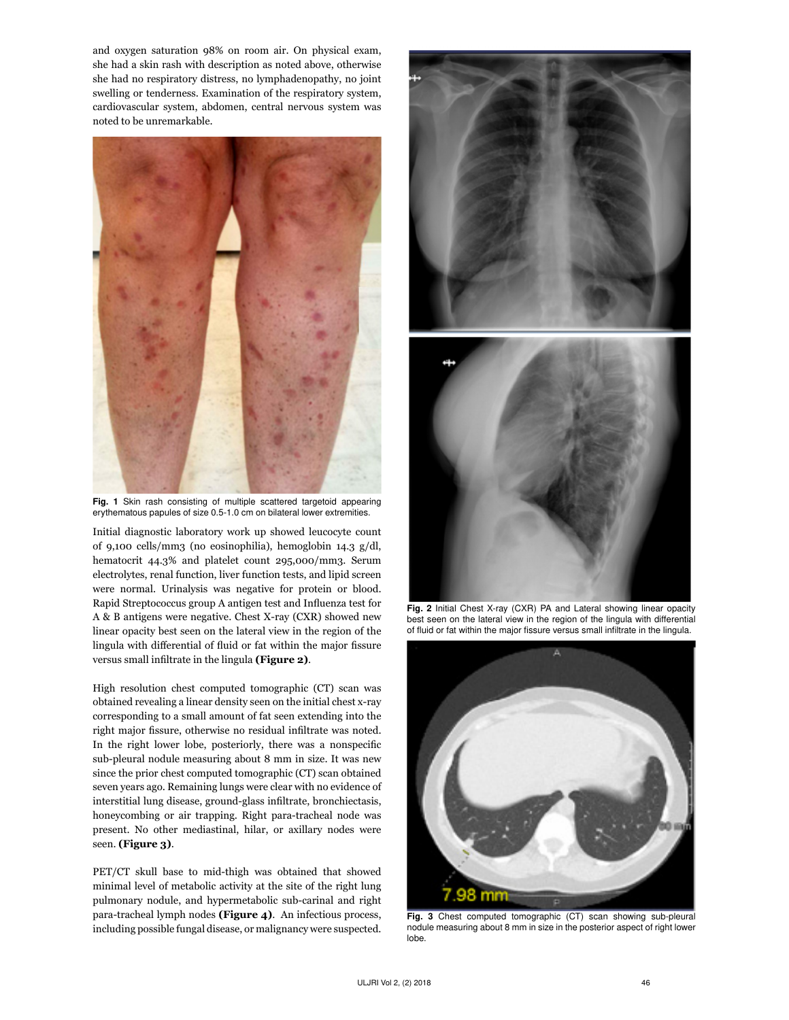and oxygen saturation 98% on room air. On physical exam, she had a skin rash with description as noted above, otherwise she had no respiratory distress, no lymphadenopathy, no joint swelling or tenderness. Examination of the respiratory system, cardiovascular system, abdomen, central nervous system was noted to be unremarkable.



Fig. 1 Skin rash consisting of multiple scattered targetoid appearing erythematous papules of size 0.5-1.0 cm on bilateral lower extremities.

Initial diagnostic laboratory work up showed leucocyte count of 9,100 cells/mm3 (no eosinophilia), hemoglobin 14.3 g/dl, hematocrit 44.3% and platelet count 295,000/mm3. Serum electrolytes, renal function, liver function tests, and lipid screen were normal. Urinalysis was negative for protein or blood. Rapid Streptococcus group A antigen test and Influenza test for A & B antigens were negative. Chest X-ray (CXR) showed new linear opacity best seen on the lateral view in the region of the lingula with differential of fluid or fat within the major fissure versus small infiltrate in the lingula **(Figure 2)**.

High resolution chest computed tomographic (CT) scan was obtained revealing a linear density seen on the initial chest x-ray corresponding to a small amount of fat seen extending into the right major fissure, otherwise no residual infiltrate was noted. In the right lower lobe, posteriorly, there was a nonspecific sub-pleural nodule measuring about 8 mm in size. It was new since the prior chest computed tomographic (CT) scan obtained seven years ago. Remaining lungs were clear with no evidence of interstitial lung disease, ground-glass infiltrate, bronchiectasis, honeycombing or air trapping. Right para-tracheal node was present. No other mediastinal, hilar, or axillary nodes were seen. **(Figure 3)**.

PET/CT skull base to mid-thigh was obtained that showed minimal level of metabolic activity at the site of the right lung pulmonary nodule, and hypermetabolic sub-carinal and right para-tracheal lymph nodes **(Figure 4)**. An infectious process, including possible fungal disease, or malignancy were suspected.





Fig. 2 Initial Chest X-ray (CXR) PA and Lateral showing linear opacity best seen on the lateral view in the region of the lingula with differential of fluid or fat within the major fissure versus small infiltrate in the lingula.



Fig. 3 Chest computed tomographic (CT) scan showing sub-pleural nodule measuring about 8 mm in size in the posterior aspect of right lower lobe.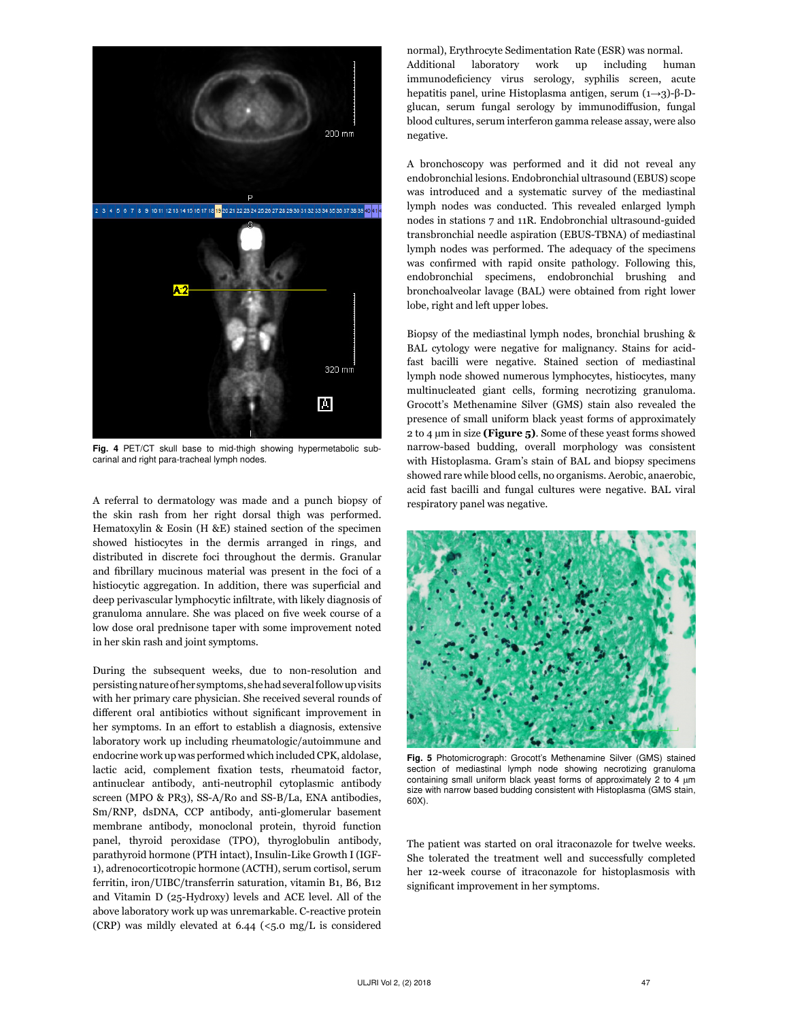

Fig. 4 PET/CT skull base to mid-thigh showing hypermetabolic subcarinal and right para-tracheal lymph nodes.

A referral to dermatology was made and a punch biopsy of the skin rash from her right dorsal thigh was performed. Hematoxylin & Eosin (H &E) stained section of the specimen showed histiocytes in the dermis arranged in rings, and distributed in discrete foci throughout the dermis. Granular and fibrillary mucinous material was present in the foci of a histiocytic aggregation. In addition, there was superficial and deep perivascular lymphocytic infiltrate, with likely diagnosis of granuloma annulare. She was placed on five week course of a low dose oral prednisone taper with some improvement noted in her skin rash and joint symptoms.

During the subsequent weeks, due to non-resolution and persisting nature of her symptoms, she had several follow up visits with her primary care physician. She received several rounds of different oral antibiotics without significant improvement in her symptoms. In an effort to establish a diagnosis, extensive laboratory work up including rheumatologic/autoimmune and endocrine work up was performed which included CPK, aldolase, lactic acid, complement fixation tests, rheumatoid factor, antinuclear antibody, anti-neutrophil cytoplasmic antibody screen (MPO & PR3), SS-A/Ro and SS-B/La, ENA antibodies, Sm/RNP, dsDNA, CCP antibody, anti-glomerular basement membrane antibody, monoclonal protein, thyroid function panel, thyroid peroxidase (TPO), thyroglobulin antibody, parathyroid hormone (PTH intact), Insulin-Like Growth I (IGF-1), adrenocorticotropic hormone (ACTH), serum cortisol, serum ferritin, iron/UIBC/transferrin saturation, vitamin B1, B6, B12 and Vitamin D (25-Hydroxy) levels and ACE level. All of the above laboratory work up was unremarkable. C-reactive protein (CRP) was mildly elevated at  $6.44$  (<5.0 mg/L is considered normal), Erythrocyte Sedimentation Rate (ESR) was normal. Additional laboratory work up including human immunodeficiency virus serology, syphilis screen, acute hepatitis panel, urine Histoplasma antigen, serum (1→3)-β-Dglucan, serum fungal serology by immunodiffusion, fungal blood cultures, serum interferon gamma release assay, were also negative.

A bronchoscopy was performed and it did not reveal any endobronchial lesions. Endobronchial ultrasound (EBUS) scope was introduced and a systematic survey of the mediastinal lymph nodes was conducted. This revealed enlarged lymph nodes in stations 7 and 11R. Endobronchial ultrasound-guided transbronchial needle aspiration (EBUS-TBNA) of mediastinal lymph nodes was performed. The adequacy of the specimens was confirmed with rapid onsite pathology. Following this, endobronchial specimens, endobronchial brushing and bronchoalveolar lavage (BAL) were obtained from right lower lobe, right and left upper lobes.

Biopsy of the mediastinal lymph nodes, bronchial brushing & BAL cytology were negative for malignancy. Stains for acidfast bacilli were negative. Stained section of mediastinal lymph node showed numerous lymphocytes, histiocytes, many multinucleated giant cells, forming necrotizing granuloma. Grocott's Methenamine Silver (GMS) stain also revealed the presence of small uniform black yeast forms of approximately 2 to 4 µm in size **(Figure 5)**. Some of these yeast forms showed narrow-based budding, overall morphology was consistent with Histoplasma. Gram's stain of BAL and biopsy specimens showed rare while blood cells, no organisms. Aerobic, anaerobic, acid fast bacilli and fungal cultures were negative. BAL viral respiratory panel was negative.



Fig. 5 Photomicrograph: Grocott's Methenamine Silver (GMS) stained section of mediastinal lymph node showing necrotizing granuloma containing small uniform black yeast forms of approximately 2 to 4 µm size with narrow based budding consistent with Histoplasma (GMS stain, 60X).

The patient was started on oral itraconazole for twelve weeks. She tolerated the treatment well and successfully completed her 12-week course of itraconazole for histoplasmosis with significant improvement in her symptoms.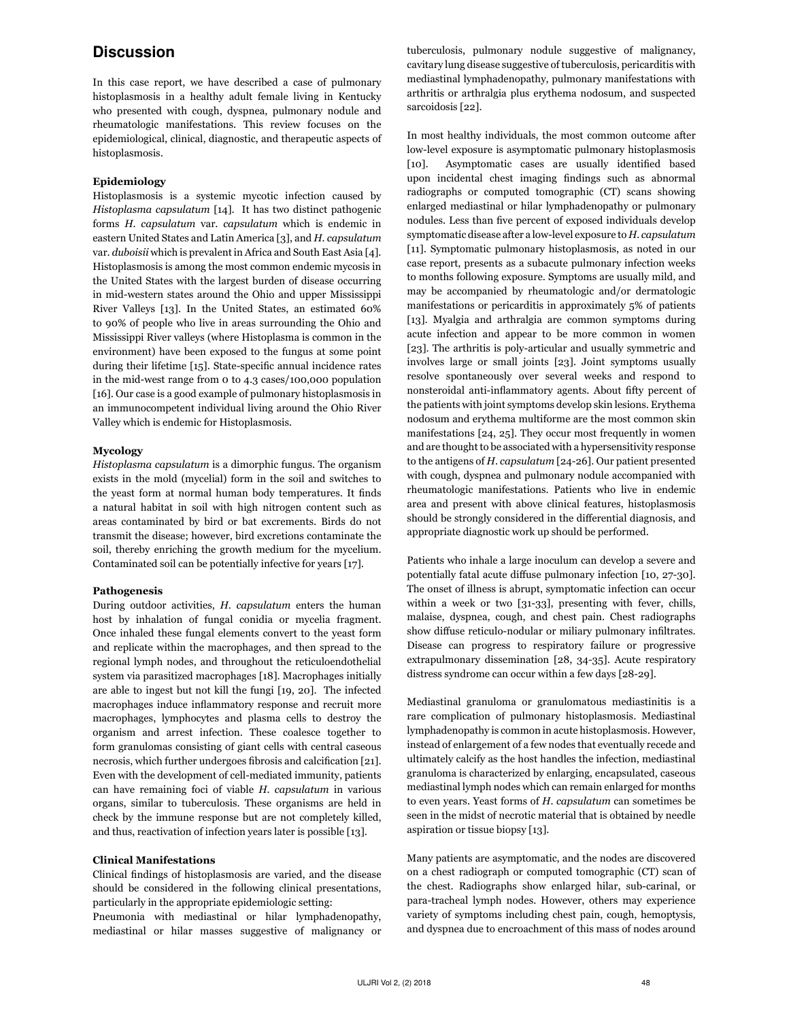# **Discussion**

In this case report, we have described a case of pulmonary histoplasmosis in a healthy adult female living in Kentucky who presented with cough, dyspnea, pulmonary nodule and rheumatologic manifestations. This review focuses on the epidemiological, clinical, diagnostic, and therapeutic aspects of histoplasmosis.

#### **Epidemiology**

Histoplasmosis is a systemic mycotic infection caused by *Histoplasma capsulatum* [14]. It has two distinct pathogenic forms *H. capsulatum* var. *capsulatum* which is endemic in eastern United States and Latin America [3], and *H. capsulatum*  var. *duboisii* which is prevalent in Africa and South East Asia [4]. Histoplasmosis is among the most common endemic mycosis in the United States with the largest burden of disease occurring in mid-western states around the Ohio and upper Mississippi River Valleys [13]. In the United States, an estimated 60% to 90% of people who live in areas surrounding the Ohio and Mississippi River valleys (where Histoplasma is common in the environment) have been exposed to the fungus at some point during their lifetime [15]. State-specific annual incidence rates in the mid-west range from 0 to 4.3 cases/100,000 population [16]. Our case is a good example of pulmonary histoplasmosis in an immunocompetent individual living around the Ohio River Valley which is endemic for Histoplasmosis.

#### **Mycology**

*Histoplasma capsulatum* is a dimorphic fungus. The organism exists in the mold (mycelial) form in the soil and switches to the yeast form at normal human body temperatures. It finds a natural habitat in soil with high nitrogen content such as areas contaminated by bird or bat excrements. Birds do not transmit the disease; however, bird excretions contaminate the soil, thereby enriching the growth medium for the mycelium. Contaminated soil can be potentially infective for years [17].

#### **Pathogenesis**

During outdoor activities, *H. capsulatum* enters the human host by inhalation of fungal conidia or mycelia fragment. Once inhaled these fungal elements convert to the yeast form and replicate within the macrophages, and then spread to the regional lymph nodes, and throughout the reticuloendothelial system via parasitized macrophages [18]. Macrophages initially are able to ingest but not kill the fungi [19, 20]. The infected macrophages induce inflammatory response and recruit more macrophages, lymphocytes and plasma cells to destroy the organism and arrest infection. These coalesce together to form granulomas consisting of giant cells with central caseous necrosis, which further undergoes fibrosis and calcification [21]. Even with the development of cell-mediated immunity, patients can have remaining foci of viable *H. capsulatum* in various organs, similar to tuberculosis. These organisms are held in check by the immune response but are not completely killed, and thus, reactivation of infection years later is possible [13].

#### **Clinical Manifestations**

Clinical findings of histoplasmosis are varied, and the disease should be considered in the following clinical presentations, particularly in the appropriate epidemiologic setting:

Pneumonia with mediastinal or hilar lymphadenopathy, mediastinal or hilar masses suggestive of malignancy or tuberculosis, pulmonary nodule suggestive of malignancy, cavitary lung disease suggestive of tuberculosis, pericarditis with mediastinal lymphadenopathy, pulmonary manifestations with arthritis or arthralgia plus erythema nodosum, and suspected sarcoidosis [22].

In most healthy individuals, the most common outcome after low-level exposure is asymptomatic pulmonary histoplasmosis [10]. Asymptomatic cases are usually identified based upon incidental chest imaging findings such as abnormal radiographs or computed tomographic (CT) scans showing enlarged mediastinal or hilar lymphadenopathy or pulmonary nodules. Less than five percent of exposed individuals develop symptomatic disease after a low-level exposure to *H. capsulatum*  [11]. Symptomatic pulmonary histoplasmosis, as noted in our case report, presents as a subacute pulmonary infection weeks to months following exposure. Symptoms are usually mild, and may be accompanied by rheumatologic and/or dermatologic manifestations or pericarditis in approximately 5% of patients [13]. Myalgia and arthralgia are common symptoms during acute infection and appear to be more common in women [23]. The arthritis is poly-articular and usually symmetric and involves large or small joints [23]. Joint symptoms usually resolve spontaneously over several weeks and respond to nonsteroidal anti-inflammatory agents. About fifty percent of the patients with joint symptoms develop skin lesions. Erythema nodosum and erythema multiforme are the most common skin manifestations [24, 25]. They occur most frequently in women and are thought to be associated with a hypersensitivity response to the antigens of *H. capsulatum* [24-26]. Our patient presented with cough, dyspnea and pulmonary nodule accompanied with rheumatologic manifestations. Patients who live in endemic area and present with above clinical features, histoplasmosis should be strongly considered in the differential diagnosis, and appropriate diagnostic work up should be performed.

Patients who inhale a large inoculum can develop a severe and potentially fatal acute diffuse pulmonary infection [10, 27-30]. The onset of illness is abrupt, symptomatic infection can occur within a week or two [31-33], presenting with fever, chills, malaise, dyspnea, cough, and chest pain. Chest radiographs show diffuse reticulo-nodular or miliary pulmonary infiltrates. Disease can progress to respiratory failure or progressive extrapulmonary dissemination [28, 34-35]. Acute respiratory distress syndrome can occur within a few days [28-29].

Mediastinal granuloma or granulomatous mediastinitis is a rare complication of pulmonary histoplasmosis. Mediastinal lymphadenopathy is common in acute histoplasmosis. However, instead of enlargement of a few nodes that eventually recede and ultimately calcify as the host handles the infection, mediastinal granuloma is characterized by enlarging, encapsulated, caseous mediastinal lymph nodes which can remain enlarged for months to even years. Yeast forms of *H. capsulatum* can sometimes be seen in the midst of necrotic material that is obtained by needle aspiration or tissue biopsy [13].

Many patients are asymptomatic, and the nodes are discovered on a chest radiograph or computed tomographic (CT) scan of the chest. Radiographs show enlarged hilar, sub-carinal, or para-tracheal lymph nodes. However, others may experience variety of symptoms including chest pain, cough, hemoptysis, and dyspnea due to encroachment of this mass of nodes around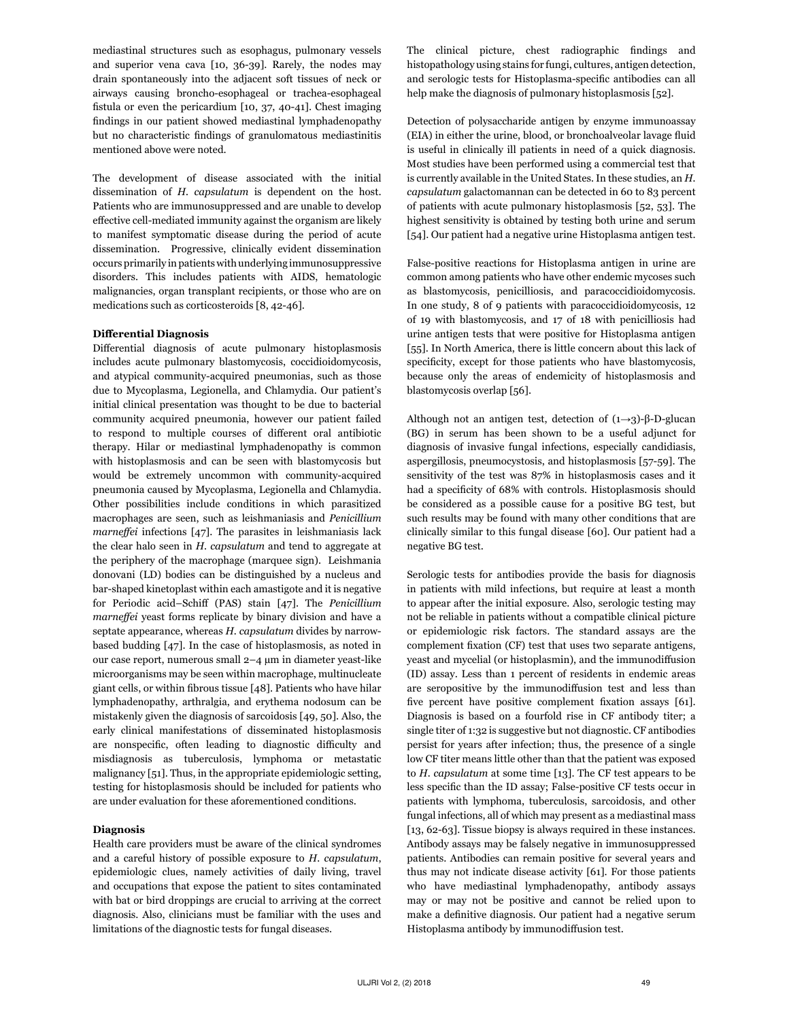mediastinal structures such as esophagus, pulmonary vessels and superior vena cava [10, 36-39]. Rarely, the nodes may drain spontaneously into the adjacent soft tissues of neck or airways causing broncho-esophageal or trachea-esophageal fistula or even the pericardium [10, 37, 40-41]. Chest imaging findings in our patient showed mediastinal lymphadenopathy but no characteristic findings of granulomatous mediastinitis mentioned above were noted.

The development of disease associated with the initial dissemination of *H. capsulatum* is dependent on the host. Patients who are immunosuppressed and are unable to develop effective cell-mediated immunity against the organism are likely to manifest symptomatic disease during the period of acute dissemination. Progressive, clinically evident dissemination occurs primarily in patients with underlying immunosuppressive disorders. This includes patients with AIDS, hematologic malignancies, organ transplant recipients, or those who are on medications such as corticosteroids [8, 42-46].

#### **Differential Diagnosis**

Differential diagnosis of acute pulmonary histoplasmosis includes acute pulmonary blastomycosis, coccidioidomycosis, and atypical community-acquired pneumonias, such as those due to Mycoplasma, Legionella, and Chlamydia. Our patient's initial clinical presentation was thought to be due to bacterial community acquired pneumonia, however our patient failed to respond to multiple courses of different oral antibiotic therapy. Hilar or mediastinal lymphadenopathy is common with histoplasmosis and can be seen with blastomycosis but would be extremely uncommon with community-acquired pneumonia caused by Mycoplasma, Legionella and Chlamydia. Other possibilities include conditions in which parasitized macrophages are seen, such as leishmaniasis and *Penicillium marneffei* infections [47]. The parasites in leishmaniasis lack the clear halo seen in *H. capsulatum* and tend to aggregate at the periphery of the macrophage (marquee sign). Leishmania donovani (LD) bodies can be distinguished by a nucleus and bar-shaped kinetoplast within each amastigote and it is negative for Periodic acid–Schiff (PAS) stain [47]. The *Penicillium marneffei* yeast forms replicate by binary division and have a septate appearance, whereas *H. capsulatum* divides by narrowbased budding [47]. In the case of histoplasmosis, as noted in our case report, numerous small 2–4 µm in diameter yeast-like microorganisms may be seen within macrophage, multinucleate giant cells, or within fibrous tissue [48]. Patients who have hilar lymphadenopathy, arthralgia, and erythema nodosum can be mistakenly given the diagnosis of sarcoidosis [49, 50]. Also, the early clinical manifestations of disseminated histoplasmosis are nonspecific, often leading to diagnostic difficulty and misdiagnosis as tuberculosis, lymphoma or metastatic malignancy [51]. Thus, in the appropriate epidemiologic setting, testing for histoplasmosis should be included for patients who are under evaluation for these aforementioned conditions.

#### **Diagnosis**

Health care providers must be aware of the clinical syndromes and a careful history of possible exposure to *H. capsulatum*, epidemiologic clues, namely activities of daily living, travel and occupations that expose the patient to sites contaminated with bat or bird droppings are crucial to arriving at the correct diagnosis. Also, clinicians must be familiar with the uses and limitations of the diagnostic tests for fungal diseases.

The clinical picture, chest radiographic findings and histopathology using stains for fungi, cultures, antigen detection, and serologic tests for Histoplasma-specific antibodies can all help make the diagnosis of pulmonary histoplasmosis [52].

Detection of polysaccharide antigen by enzyme immunoassay (EIA) in either the urine, blood, or bronchoalveolar lavage fluid is useful in clinically ill patients in need of a quick diagnosis. Most studies have been performed using a commercial test that is currently available in the United States. In these studies, an *H. capsulatum* galactomannan can be detected in 60 to 83 percent of patients with acute pulmonary histoplasmosis [52, 53]. The highest sensitivity is obtained by testing both urine and serum [54]. Our patient had a negative urine Histoplasma antigen test.

False-positive reactions for Histoplasma antigen in urine are common among patients who have other endemic mycoses such as blastomycosis, penicilliosis, and paracoccidioidomycosis. In one study, 8 of 9 patients with paracoccidioidomycosis, 12 of 19 with blastomycosis, and 17 of 18 with penicilliosis had urine antigen tests that were positive for Histoplasma antigen [55]. In North America, there is little concern about this lack of specificity, except for those patients who have blastomycosis, because only the areas of endemicity of histoplasmosis and blastomycosis overlap [56].

Although not an antigen test, detection of  $(1\rightarrow 3)$ -β-D-glucan (BG) in serum has been shown to be a useful adjunct for diagnosis of invasive fungal infections, especially candidiasis, aspergillosis, pneumocystosis, and histoplasmosis [57-59]. The sensitivity of the test was 87% in histoplasmosis cases and it had a specificity of 68% with controls. Histoplasmosis should be considered as a possible cause for a positive BG test, but such results may be found with many other conditions that are clinically similar to this fungal disease [60]. Our patient had a negative BG test.

Serologic tests for antibodies provide the basis for diagnosis in patients with mild infections, but require at least a month to appear after the initial exposure. Also, serologic testing may not be reliable in patients without a compatible clinical picture or epidemiologic risk factors. The standard assays are the complement fixation (CF) test that uses two separate antigens, yeast and mycelial (or histoplasmin), and the immunodiffusion (ID) assay. Less than 1 percent of residents in endemic areas are seropositive by the immunodiffusion test and less than five percent have positive complement fixation assays [61]. Diagnosis is based on a fourfold rise in CF antibody titer; a single titer of 1:32 is suggestive but not diagnostic. CF antibodies persist for years after infection; thus, the presence of a single low CF titer means little other than that the patient was exposed to *H. capsulatum* at some time [13]. The CF test appears to be less specific than the ID assay; False-positive CF tests occur in patients with lymphoma, tuberculosis, sarcoidosis, and other fungal infections, all of which may present as a mediastinal mass [13, 62-63]. Tissue biopsy is always required in these instances. Antibody assays may be falsely negative in immunosuppressed patients. Antibodies can remain positive for several years and thus may not indicate disease activity [61]. For those patients who have mediastinal lymphadenopathy, antibody assays may or may not be positive and cannot be relied upon to make a definitive diagnosis. Our patient had a negative serum Histoplasma antibody by immunodiffusion test.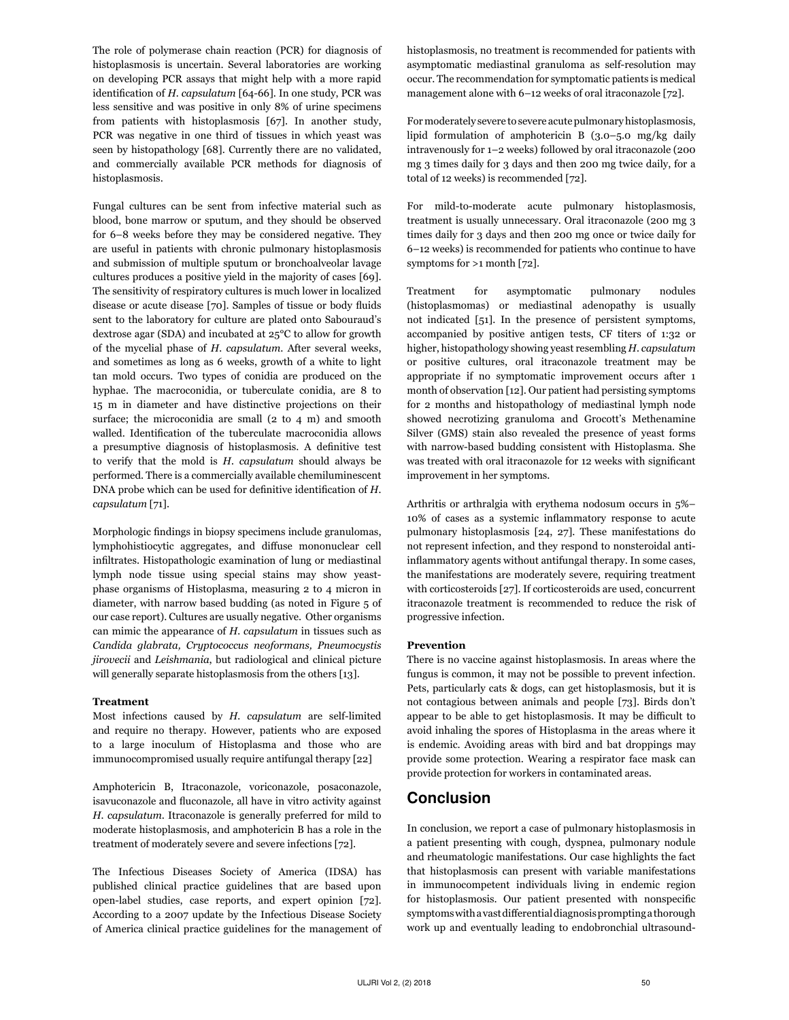The role of polymerase chain reaction (PCR) for diagnosis of histoplasmosis is uncertain. Several laboratories are working on developing PCR assays that might help with a more rapid identification of *H. capsulatum* [64-66]. In one study, PCR was less sensitive and was positive in only 8% of urine specimens from patients with histoplasmosis [67]. In another study, PCR was negative in one third of tissues in which yeast was seen by histopathology [68]. Currently there are no validated, and commercially available PCR methods for diagnosis of histoplasmosis.

Fungal cultures can be sent from infective material such as blood, bone marrow or sputum, and they should be observed for 6–8 weeks before they may be considered negative. They are useful in patients with chronic pulmonary histoplasmosis and submission of multiple sputum or bronchoalveolar lavage cultures produces a positive yield in the majority of cases [69]. The sensitivity of respiratory cultures is much lower in localized disease or acute disease [70]. Samples of tissue or body fluids sent to the laboratory for culture are plated onto Sabouraud's dextrose agar (SDA) and incubated at 25°C to allow for growth of the mycelial phase of *H. capsulatum*. After several weeks, and sometimes as long as 6 weeks, growth of a white to light tan mold occurs. Two types of conidia are produced on the hyphae. The macroconidia, or tuberculate conidia, are 8 to 15 m in diameter and have distinctive projections on their surface; the microconidia are small (2 to 4 m) and smooth walled. Identification of the tuberculate macroconidia allows a presumptive diagnosis of histoplasmosis. A definitive test to verify that the mold is *H. capsulatum* should always be performed. There is a commercially available chemiluminescent DNA probe which can be used for definitive identification of *H. capsulatum* [71].

Morphologic findings in biopsy specimens include granulomas, lymphohistiocytic aggregates, and diffuse mononuclear cell infiltrates. Histopathologic examination of lung or mediastinal lymph node tissue using special stains may show yeastphase organisms of Histoplasma, measuring 2 to 4 micron in diameter, with narrow based budding (as noted in Figure 5 of our case report). Cultures are usually negative. Other organisms can mimic the appearance of *H. capsulatum* in tissues such as *Candida glabrata, Cryptococcus neoformans, Pneumocystis jirovecii* and *Leishmania*, but radiological and clinical picture will generally separate histoplasmosis from the others [13].

#### **Treatment**

Most infections caused by *H. capsulatum* are self-limited and require no therapy. However, patients who are exposed to a large inoculum of Histoplasma and those who are immunocompromised usually require antifungal therapy [22]

Amphotericin B, Itraconazole, voriconazole, posaconazole, isavuconazole and fluconazole, all have in vitro activity against *H. capsulatum*. Itraconazole is generally preferred for mild to moderate histoplasmosis, and amphotericin B has a role in the treatment of moderately severe and severe infections [72].

The Infectious Diseases Society of America (IDSA) has published clinical practice guidelines that are based upon open-label studies, case reports, and expert opinion [72]. According to a 2007 update by the Infectious Disease Society of America clinical practice guidelines for the management of histoplasmosis, no treatment is recommended for patients with asymptomatic mediastinal granuloma as self-resolution may occur. The recommendation for symptomatic patients is medical management alone with 6–12 weeks of oral itraconazole [72].

For moderately severe to severe acute pulmonary histoplasmosis, lipid formulation of amphotericin B (3.0–5.0 mg/kg daily intravenously for 1–2 weeks) followed by oral itraconazole (200 mg 3 times daily for 3 days and then 200 mg twice daily, for a total of 12 weeks) is recommended [72].

For mild-to-moderate acute pulmonary histoplasmosis, treatment is usually unnecessary. Oral itraconazole (200 mg 3 times daily for 3 days and then 200 mg once or twice daily for 6–12 weeks) is recommended for patients who continue to have symptoms for >1 month [72].

Treatment for asymptomatic pulmonary nodules (histoplasmomas) or mediastinal adenopathy is usually not indicated [51]. In the presence of persistent symptoms, accompanied by positive antigen tests, CF titers of 1:32 or higher, histopathology showing yeast resembling *H. capsulatum* or positive cultures, oral itraconazole treatment may be appropriate if no symptomatic improvement occurs after 1 month of observation [12]. Our patient had persisting symptoms for 2 months and histopathology of mediastinal lymph node showed necrotizing granuloma and Grocott's Methenamine Silver (GMS) stain also revealed the presence of yeast forms with narrow-based budding consistent with Histoplasma. She was treated with oral itraconazole for 12 weeks with significant improvement in her symptoms.

Arthritis or arthralgia with erythema nodosum occurs in 5%– 10% of cases as a systemic inflammatory response to acute pulmonary histoplasmosis [24, 27]. These manifestations do not represent infection, and they respond to nonsteroidal antiinflammatory agents without antifungal therapy. In some cases, the manifestations are moderately severe, requiring treatment with corticosteroids [27]. If corticosteroids are used, concurrent itraconazole treatment is recommended to reduce the risk of progressive infection.

#### **Prevention**

There is no vaccine against histoplasmosis. In areas where the fungus is common, it may not be possible to prevent infection. Pets, particularly cats & dogs, can get histoplasmosis, but it is not contagious between animals and people [73]. Birds don't appear to be able to get histoplasmosis. It may be difficult to avoid inhaling the spores of Histoplasma in the areas where it is endemic. Avoiding areas with bird and bat droppings may provide some protection. Wearing a respirator face mask can provide protection for workers in contaminated areas.

## Conclusion

In conclusion, we report a case of pulmonary histoplasmosis in a patient presenting with cough, dyspnea, pulmonary nodule and rheumatologic manifestations. Our case highlights the fact that histoplasmosis can present with variable manifestations in immunocompetent individuals living in endemic region for histoplasmosis. Our patient presented with nonspecific symptoms with a vast differential diagnosis prompting a thorough work up and eventually leading to endobronchial ultrasound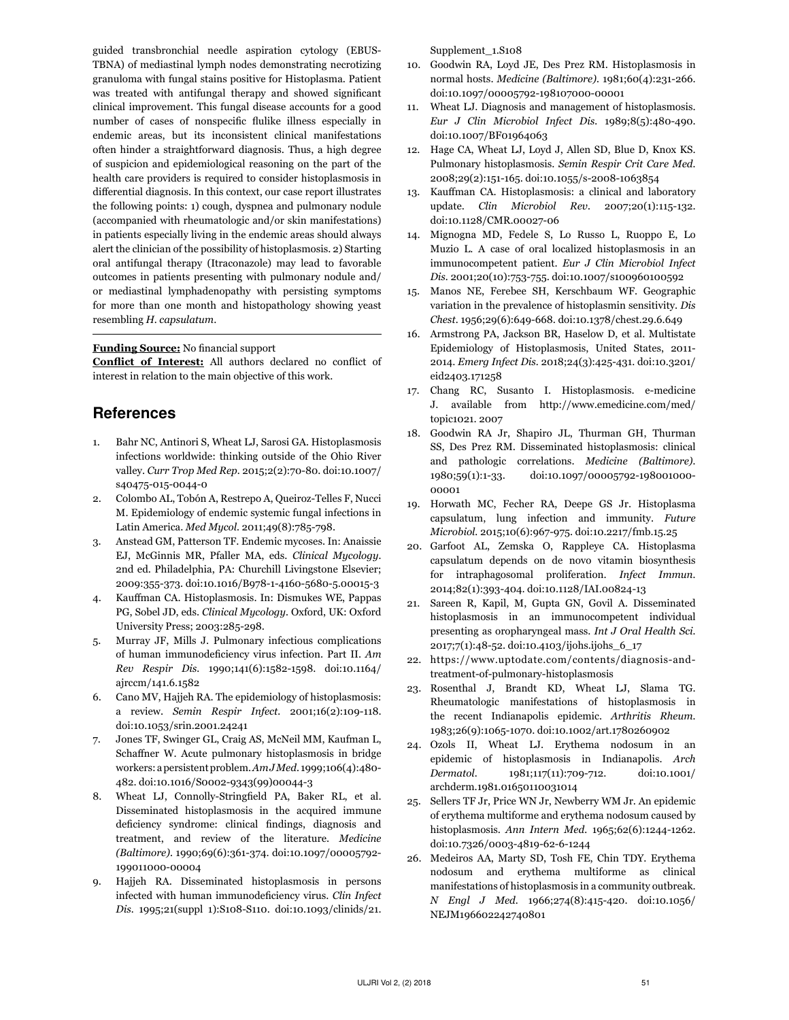guided transbronchial needle aspiration cytology (EBUS-TBNA) of mediastinal lymph nodes demonstrating necrotizing granuloma with fungal stains positive for Histoplasma. Patient was treated with antifungal therapy and showed significant clinical improvement. This fungal disease accounts for a good number of cases of nonspecific flulike illness especially in endemic areas, but its inconsistent clinical manifestations often hinder a straightforward diagnosis. Thus, a high degree of suspicion and epidemiological reasoning on the part of the health care providers is required to consider histoplasmosis in differential diagnosis. In this context, our case report illustrates the following points: 1) cough, dyspnea and pulmonary nodule (accompanied with rheumatologic and/or skin manifestations) in patients especially living in the endemic areas should always alert the clinician of the possibility of histoplasmosis. 2) Starting oral antifungal therapy (Itraconazole) may lead to favorable outcomes in patients presenting with pulmonary nodule and/ or mediastinal lymphadenopathy with persisting symptoms for more than one month and histopathology showing yeast resembling *H. capsulatum*.

#### **Funding Source:** No financial support

**Conflict of Interest:** All authors declared no conflict of interest in relation to the main objective of this work.

## **References**

- 1. Bahr NC, Antinori S, Wheat LJ, Sarosi GA. Histoplasmosis infections worldwide: thinking outside of the Ohio River valley. *Curr Trop Med Rep.* 2015;2(2):70-80. doi:10.1007/ s40475-015-0044-0
- 2. Colombo AL, Tobón A, Restrepo A, Queiroz-Telles F, Nucci M. Epidemiology of endemic systemic fungal infections in Latin America. *Med Mycol.* 2011;49(8):785-798.
- 3. Anstead GM, Patterson TF. Endemic mycoses. In: Anaissie EJ, McGinnis MR, Pfaller MA, eds. *Clinical Mycology.*  2nd ed. Philadelphia, PA: Churchill Livingstone Elsevier; 2009:355-373. doi:10.1016/B978-1-4160-5680-5.00015-3
- 4. Kauffman CA. Histoplasmosis. In: Dismukes WE, Pappas PG, Sobel JD, eds. *Clinical Mycology.* Oxford, UK: Oxford University Press; 2003:285-298.
- 5. Murray JF, Mills J. Pulmonary infectious complications of human immunodeficiency virus infection. Part II. *Am Rev Respir Dis.* 1990;141(6):1582-1598. doi:10.1164/ ajrccm/141.6.1582
- 6. Cano MV, Hajjeh RA. The epidemiology of histoplasmosis: a review. *Semin Respir Infect.* 2001;16(2):109-118. doi:10.1053/srin.2001.24241
- 7. Jones TF, Swinger GL, Craig AS, McNeil MM, Kaufman L, Schaffner W. Acute pulmonary histoplasmosis in bridge workers: a persistent problem. *Am J Med.* 1999;106(4):480- 482. doi:10.1016/S0002-9343(99)00044-3
- 8. Wheat LJ, Connolly-Stringfield PA, Baker RL, et al. Disseminated histoplasmosis in the acquired immune deficiency syndrome: clinical findings, diagnosis and treatment, and review of the literature. *Medicine (Baltimore).* 1990;69(6):361-374. doi:10.1097/00005792- 199011000-00004
- 9. Hajjeh RA. Disseminated histoplasmosis in persons infected with human immunodeficiency virus. *Clin Infect Dis.* 1995;21(suppl 1):S108-S110. doi:10.1093/clinids/21.

Supplement\_1.S108

- 10. Goodwin RA, Loyd JE, Des Prez RM. Histoplasmosis in normal hosts. *Medicine (Baltimore).* 1981;60(4):231-266. doi:10.1097/00005792-198107000-00001
- 11. Wheat LJ. Diagnosis and management of histoplasmosis. *Eur J Clin Microbiol Infect Dis.* 1989;8(5):480-490. doi:10.1007/BF01964063
- 12. Hage CA, Wheat LJ, Loyd J, Allen SD, Blue D, Knox KS. Pulmonary histoplasmosis. *Semin Respir Crit Care Med.*  2008;29(2):151-165. doi:10.1055/s-2008-1063854
- 13. Kauffman CA. Histoplasmosis: a clinical and laboratory update. *Clin Microbiol Rev.* 2007;20(1):115-132. doi:10.1128/CMR.00027-06
- 14. Mignogna MD, Fedele S, Lo Russo L, Ruoppo E, Lo Muzio L. A case of oral localized histoplasmosis in an immunocompetent patient. *Eur J Clin Microbiol Infect Dis.* 2001;20(10):753-755. doi:10.1007/s100960100592
- 15. Manos NE, Ferebee SH, Kerschbaum WF. Geographic variation in the prevalence of histoplasmin sensitivity. *Dis Chest.* 1956;29(6):649-668. doi:10.1378/chest.29.6.649
- 16. Armstrong PA, Jackson BR, Haselow D, et al. Multistate Epidemiology of Histoplasmosis, United States, 2011- 2014. *Emerg Infect Dis.* 2018;24(3):425-431. doi:10.3201/ eid2403.171258
- 17. Chang RC, Susanto I. Histoplasmosis. e-medicine J. available from http://www.emedicine.com/med/ topic1021. 2007
- 18. Goodwin RA Jr, Shapiro JL, Thurman GH, Thurman SS, Des Prez RM. Disseminated histoplasmosis: clinical and pathologic correlations. *Medicine (Baltimore).*  1980;59(1):1-33. doi:10.1097/00005792-198001000- 00001
- 19. Horwath MC, Fecher RA, Deepe GS Jr. Histoplasma capsulatum, lung infection and immunity. *Future Microbiol.* 2015;10(6):967-975. doi:10.2217/fmb.15.25
- 20. Garfoot AL, Zemska O, Rappleye CA. Histoplasma capsulatum depends on de novo vitamin biosynthesis for intraphagosomal proliferation. *Infect Immun.*  2014;82(1):393-404. doi:10.1128/IAI.00824-13
- 21. Sareen R, Kapil, M, Gupta GN, Govil A. Disseminated histoplasmosis in an immunocompetent individual presenting as oropharyngeal mass. *Int J Oral Health Sci.*  2017;7(1):48-52. doi:10.4103/ijohs.ijohs\_6\_17
- 22. https://www.uptodate.com/contents/diagnosis-andtreatment-of-pulmonary-histoplasmosis
- 23. Rosenthal J, Brandt KD, Wheat LJ, Slama TG. Rheumatologic manifestations of histoplasmosis in the recent Indianapolis epidemic. *Arthritis Rheum.*  1983;26(9):1065-1070. doi:10.1002/art.1780260902
- 24. Ozols II, Wheat LJ. Erythema nodosum in an epidemic of histoplasmosis in Indianapolis. *Arch Dermatol.* 1981;117(11):709-712. doi:10.1001/ archderm.1981.01650110031014
- 25. Sellers TF Jr, Price WN Jr, Newberry WM Jr. An epidemic of erythema multiforme and erythema nodosum caused by histoplasmosis. *Ann Intern Med.* 1965;62(6):1244-1262. doi:10.7326/0003-4819-62-6-1244
- 26. Medeiros AA, Marty SD, Tosh FE, Chin TDY. Erythema nodosum and erythema multiforme as clinical manifestations of histoplasmosis in a community outbreak. *N Engl J Med.* 1966;274(8):415-420. doi:10.1056/ NEJM196602242740801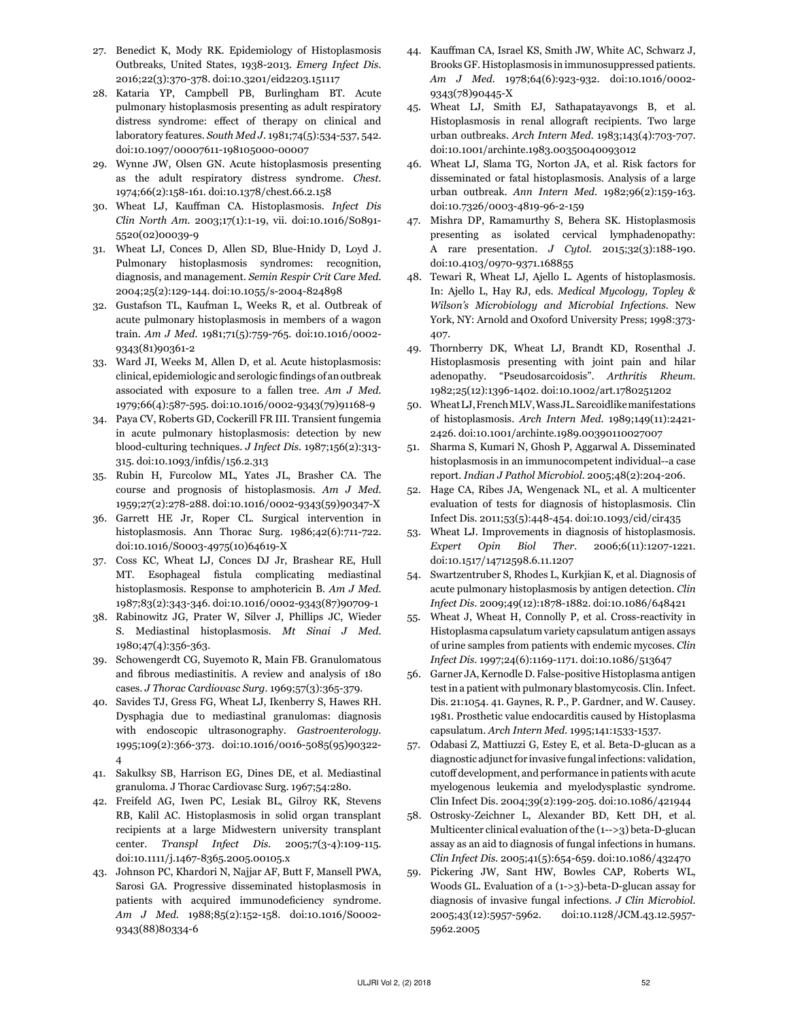- 27. Benedict K, Mody RK. Epidemiology of Histoplasmosis Outbreaks, United States, 1938-2013. *Emerg Infect Dis.*  2016;22(3):370-378. doi:10.3201/eid2203.151117
- 28. Kataria YP, Campbell PB, Burlingham BT. Acute pulmonary histoplasmosis presenting as adult respiratory distress syndrome: effect of therapy on clinical and laboratory features. *South Med J.* 1981;74(5):534-537, 542. doi:10.1097/00007611-198105000-00007
- 29. Wynne JW, Olsen GN. Acute histoplasmosis presenting as the adult respiratory distress syndrome. *Chest.*  1974;66(2):158-161. doi:10.1378/chest.66.2.158
- 30. Wheat LJ, Kauffman CA. Histoplasmosis. *Infect Dis Clin North Am.* 2003;17(1):1-19, vii. doi:10.1016/S0891- 5520(02)00039-9
- 31. Wheat LJ, Conces D, Allen SD, Blue-Hnidy D, Loyd J. Pulmonary histoplasmosis syndromes: recognition, diagnosis, and management. *Semin Respir Crit Care Med.*  2004;25(2):129-144. doi:10.1055/s-2004-824898
- 32. Gustafson TL, Kaufman L, Weeks R, et al. Outbreak of acute pulmonary histoplasmosis in members of a wagon train. *Am J Med.* 1981;71(5):759-765. doi:10.1016/0002- 9343(81)90361-2
- 33. Ward JI, Weeks M, Allen D, et al. Acute histoplasmosis: clinical, epidemiologic and serologic findings of an outbreak associated with exposure to a fallen tree. *Am J Med.*  1979;66(4):587-595. doi:10.1016/0002-9343(79)91168-9
- 34. Paya CV, Roberts GD, Cockerill FR III. Transient fungemia in acute pulmonary histoplasmosis: detection by new blood-culturing techniques. *J Infect Dis.* 1987;156(2):313- 315. doi:10.1093/infdis/156.2.313
- 35. Rubin H, Furcolow ML, Yates JL, Brasher CA. The course and prognosis of histoplasmosis. *Am J Med.*  1959;27(2):278-288. doi:10.1016/0002-9343(59)90347-X
- 36. Garrett HE Jr, Roper CL. Surgical intervention in histoplasmosis. Ann Thorac Surg. 1986;42(6):711-722. doi:10.1016/S0003-4975(10)64619-X
- 37. Coss KC, Wheat LJ, Conces DJ Jr, Brashear RE, Hull MT. Esophageal fistula complicating mediastinal histoplasmosis. Response to amphotericin B. *Am J Med.*  1987;83(2):343-346. doi:10.1016/0002-9343(87)90709-1
- 38. Rabinowitz JG, Prater W, Silver J, Phillips JC, Wieder S. Mediastinal histoplasmosis. *Mt Sinai J Med.*  1980;47(4):356-363.
- 39. Schowengerdt CG, Suyemoto R, Main FB. Granulomatous and fibrous mediastinitis. A review and analysis of 180 cases. *J Thorac Cardiovasc Surg.* 1969;57(3):365-379.
- 40. Savides TJ, Gress FG, Wheat LJ, Ikenberry S, Hawes RH. Dysphagia due to mediastinal granulomas: diagnosis with endoscopic ultrasonography. *Gastroenterology.*  1995;109(2):366-373. doi:10.1016/0016-5085(95)90322- 4
- 41. Sakulksy SB, Harrison EG, Dines DE, et al. Mediastinal granuloma. J Thorac Cardiovasc Surg. 1967;54:280.
- 42. Freifeld AG, Iwen PC, Lesiak BL, Gilroy RK, Stevens RB, Kalil AC. Histoplasmosis in solid organ transplant recipients at a large Midwestern university transplant center. *Transpl Infect Dis.* 2005;7(3-4):109-115. doi:10.1111/j.1467-8365.2005.00105.x
- 43. Johnson PC, Khardori N, Najjar AF, Butt F, Mansell PWA, Sarosi GA. Progressive disseminated histoplasmosis in patients with acquired immunodeficiency syndrome. *Am J Med.* 1988;85(2):152-158. doi:10.1016/S0002- 9343(88)80334-6
- 44. Kauffman CA, Israel KS, Smith JW, White AC, Schwarz J, Brooks GF. Histoplasmosis in immunosuppressed patients. *Am J Med.* 1978;64(6):923-932. doi:10.1016/0002- 9343(78)90445-X
- 45. Wheat LJ, Smith EJ, Sathapatayavongs B, et al. Histoplasmosis in renal allograft recipients. Two large urban outbreaks. *Arch Intern Med.* 1983;143(4):703-707. doi:10.1001/archinte.1983.00350040093012
- 46. Wheat LJ, Slama TG, Norton JA, et al. Risk factors for disseminated or fatal histoplasmosis. Analysis of a large urban outbreak. *Ann Intern Med.* 1982;96(2):159-163. doi:10.7326/0003-4819-96-2-159
- 47. Mishra DP, Ramamurthy S, Behera SK. Histoplasmosis presenting as isolated cervical lymphadenopathy: A rare presentation. *J Cytol.* 2015;32(3):188-190. doi:10.4103/0970-9371.168855
- 48. Tewari R, Wheat LJ, Ajello L. Agents of histoplasmosis. In: Ajello L, Hay RJ, eds. *Medical Mycology, Topley & Wilson's Microbiology and Microbial Infections.* New York, NY: Arnold and Oxoford University Press; 1998:373- 407.
- 49. Thornberry DK, Wheat LJ, Brandt KD, Rosenthal J. Histoplasmosis presenting with joint pain and hilar adenopathy. "Pseudosarcoidosis". *Arthritis Rheum.*  1982;25(12):1396-1402. doi:10.1002/art.1780251202
- 50. Wheat LJ, French MLV, Wass JL. Sarcoidlike manifestations of histoplasmosis. *Arch Intern Med.* 1989;149(11):2421- 2426. doi:10.1001/archinte.1989.00390110027007
- 51. Sharma S, Kumari N, Ghosh P, Aggarwal A. Disseminated histoplasmosis in an immunocompetent individual--a case report. *Indian J Pathol Microbiol.* 2005;48(2):204-206.
- 52. Hage CA, Ribes JA, Wengenack NL, et al. A multicenter evaluation of tests for diagnosis of histoplasmosis. Clin Infect Dis. 2011;53(5):448-454. doi:10.1093/cid/cir435
- 53. Wheat LJ. Improvements in diagnosis of histoplasmosis. *Expert Opin Biol Ther.* 2006;6(11):1207-1221. doi:10.1517/14712598.6.11.1207
- 54. Swartzentruber S, Rhodes L, Kurkjian K, et al. Diagnosis of acute pulmonary histoplasmosis by antigen detection. *Clin Infect Dis.* 2009;49(12):1878-1882. doi:10.1086/648421
- 55. Wheat J, Wheat H, Connolly P, et al. Cross-reactivity in Histoplasma capsulatum variety capsulatum antigen assays of urine samples from patients with endemic mycoses. *Clin Infect Dis.* 1997;24(6):1169-1171. doi:10.1086/513647
- 56. Garner JA, Kernodle D. False-positive Histoplasma antigen test in a patient with pulmonary blastomycosis. Clin. Infect. Dis. 21:1054. 41. Gaynes, R. P., P. Gardner, and W. Causey. 1981. Prosthetic value endocarditis caused by Histoplasma capsulatum. *Arch Intern Med.* 1995;141:1533-1537.
- 57. Odabasi Z, Mattiuzzi G, Estey E, et al. Beta-D-glucan as a diagnostic adjunct for invasive fungal infections: validation, cutoff development, and performance in patients with acute myelogenous leukemia and myelodysplastic syndrome. Clin Infect Dis. 2004;39(2):199-205. doi:10.1086/421944
- 58. Ostrosky-Zeichner L, Alexander BD, Kett DH, et al. Multicenter clinical evaluation of the (1-->3) beta-D-glucan assay as an aid to diagnosis of fungal infections in humans. *Clin Infect Dis.* 2005;41(5):654-659. doi:10.1086/432470
- 59. Pickering JW, Sant HW, Bowles CAP, Roberts WL, Woods GL. Evaluation of a (1->3)-beta-D-glucan assay for diagnosis of invasive fungal infections. *J Clin Microbiol.*  2005;43(12):5957-5962. doi:10.1128/JCM.43.12.5957- 5962.2005